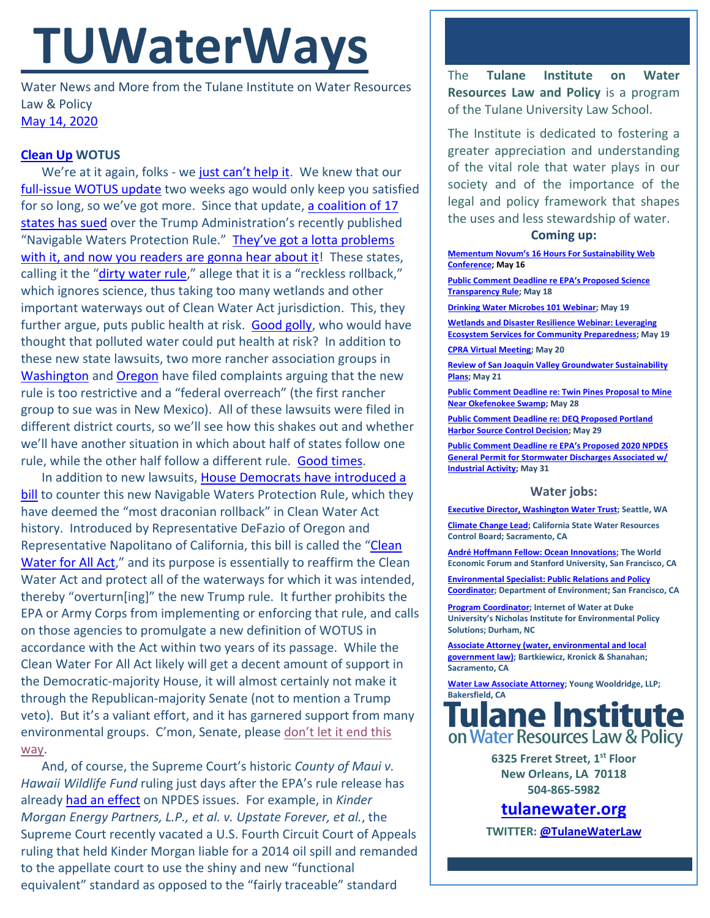# **TUWaterWays**

Water News and More from the Tulane Institute on Water Resources Law & Policy [May 14, 2020](https://thisdayinwaterhistory.wordpress.com/)

## **[Clean Up](https://www.youtube.com/watch?v=TPVk-m1Pr4s) WOTUS**

We're at it again, folks - we [just can't help it](https://www.youtube.com/watch?v=qTxZqAmaVeA). We knew that our full-issue [WOTUS update](https://a21005ea-f0f0-4cff-a527-7c658373c740.filesusr.com/ugd/32079b_be4f003d8178490b885e0164a4a88763.pdf) two weeks ago would only keep you satisfied for so long, so we've got more. Since that update, a coalition of 17 [states has](https://www.eenews.net/assets/2020/05/01/document_pm_01.pdf) sued over the Trump Administration's recently published "Navigable Waters Protection Rule." They've got a [lotta problems](https://youtu.be/1l8Eag9CAFk?t=83)  [with it, and now you readers are gonna hear about it!](https://youtu.be/1l8Eag9CAFk?t=83) These states, calling it the "[dirty water rule,](https://thehill.com/policy/energy-environment/495699-states-sue-trump-administration-over-rollback-of-obama-era-water)" allege that it is a "reckless rollback," which ignores science, thus taking too many wetlands and other important waterways out of Clean Water Act jurisdiction. This, they further argue, puts public health at risk. [Good golly,](https://www.youtube.com/watch?v=lQ6akiGRcL8) who would have thought that polluted water could put health at risk? In addition to these new state lawsuits, two more rancher association groups in [Washington](https://www.bloomberglaw.com/public/desktop/document/WashingtonCattlemensAssociationvUnitedStatesEnvironmentalProtecti/2?1589309374) and [Oregon](https://www.bloomberglaw.com/public/desktop/document/OregonCattlemensAssociationvUnitedStatesEnvironmentalProtectionAg/3?1589309329) have filed complaints arguing that the new rule is too restrictive and a "federal overreach" (the first rancher group to sue was in New Mexico). All of these lawsuits were filed in different district courts, so we'll see how this shakes out and whether we'll have another situation in which about half of states follow one rule, while the other half follow a different rule. [Good times.](https://www.youtube.com/watch?v=PP_JBPGkd-Y)

In addition to new lawsuits, House Democrats have introduced a **[bill](https://transportation.house.gov/news/press-releases/chairs-defazio-napolitano-introduce-legislation-to-block-implementation-of-trumps-dirty-water-rule)** to counter this new Navigable Waters Protection Rule, which they have deemed the "most draconian rollback" in Clean Water Act history. Introduced by Representative DeFazio of Oregon and Representative Napolitano of California, this bill is called the "[Clean](https://www.eenews.net/assets/2020/05/08/document_gw_02.pdf)  [Water for All Act](https://www.eenews.net/assets/2020/05/08/document_gw_02.pdf)," and its purpose is essentially to reaffirm the Clean Water Act and protect all of the waterways for which it was intended, thereby "overturn[ing]" the new Trump rule. It further prohibits the EPA or Army Corps from implementing or enforcing that rule, and calls on those agencies to promulgate a new definition of WOTUS in accordance with the Act within two years of its passage. While the Clean Water For All Act likely will get a decent amount of support in the Democratic-majority House, it will almost certainly not make it through the Republican-majority Senate (not to mention a Trump veto). But it's a valiant effort, and it has garnered support from many environmental groups. C'mon, Senate, please don't let it end this [way.](https://www.youtube.com/watch?v=8wFr6BU-pYo)

And, of course, the Supreme Court's historic *County of Maui v. Hawaii Wildlife Fund* ruling just days after the EPA's rule release has already [had an](https://www.reuters.com/article/usa-environment-lawsuit/scotus-vacates-ruling-holding-kinder-liable-for-indirect-water-pollution-idUSL1N2CN0C6) effect on NPDES issues. For example, in *Kinder Morgan Energy Partners, L.P., et al. v. Upstate Forever, et al.*, the Supreme Court recently vacated a U.S. Fourth Circuit Court of Appeals ruling that held Kinder Morgan liable for a 2014 oil spill and remanded to the appellate court to use the shiny and new "functional equivalent" standard as opposed to the "fairly traceable" standard

The **Tulane Institute on Water Resources Law and Policy** is a program of the Tulane University Law School.

The Institute is dedicated to fostering a greater appreciation and understanding of the vital role that water plays in our society and of the importance of the legal and policy framework that shapes the uses and less stewardship of water.

#### **Coming up:**

**[Mementum Novum's 16 Hours For Sustainability Web](https://www.momentumnovum.de/16hrs)  [Conference;](https://www.momentumnovum.de/16hrs) May 16**

**[Public Comment Deadline re EPA's Proposed Science](https://www.epa.gov/newsreleases/epa-announces-extended-comment-period-supplement-science-transparency-proposed-rule)  [Transparency Rule;](https://www.epa.gov/newsreleases/epa-announces-extended-comment-period-supplement-science-transparency-proposed-rule) May 18**

**[Drinking Water Microbes 101](https://www.epa.gov/water-research/small-systems-monthly-webinar-series) Webinar; May 19**

**[Wetlands and Disaster Resilience Webinar: Leveraging](https://www.eli.org/events/wetlands-and-disaster-resilience-leveraging-ecosystem-services-community-preparedness)  [Ecosystem Services for Community Preparedness;](https://www.eli.org/events/wetlands-and-disaster-resilience-leveraging-ecosystem-services-community-preparedness) May 19**

**[CPRA Virtual Meeting;](http://coastal.la.gov/calendar/) May 20**

**[Review of San Joaquin Valley Groundwater Sustainability](https://www.ppic.org/event/a-review-of-san-joaquin-valley-groundwater-sustainability-plans/)  [Plans;](https://www.ppic.org/event/a-review-of-san-joaquin-valley-groundwater-sustainability-plans/) May 21**

**[Public Comment Deadline re: Twin Pines Proposal to Mine](https://www.sas.usace.army.mil/Missions/Regulatory/Public-Notices/Article/2148218/sas-2018-00554-twin-pines-minerals/)  [Near Okefenokee Swamp;](https://www.sas.usace.army.mil/Missions/Regulatory/Public-Notices/Article/2148218/sas-2018-00554-twin-pines-minerals/) May 28**

**[Public Comment Deadline re: DEQ Proposed Portland](https://pamplinmedia.com/documents/artdocs/00003671953610-0644.pdf)  [Harbor Source Control Decision;](https://pamplinmedia.com/documents/artdocs/00003671953610-0644.pdf) May 29**

**[Public Comment Deadline re EPA's Proposed 2020 NPDES](https://www.regulations.gov/docket?D=EPA-HQ-OW-2019-0372)  [General Permit for Stormwater Discharges Associated w/](https://www.regulations.gov/docket?D=EPA-HQ-OW-2019-0372)  [Industrial Activity;](https://www.regulations.gov/docket?D=EPA-HQ-OW-2019-0372) May 31**

#### **Water jobs:**

**[Executive Director, Washington Water Trust;](http://www.washingtonwatertrust.org/job-opportunities) Seattle, WA**

**[Climate Change Lead;](https://jobs.ca.gov/CalHrPublic/Jobs/JobPosting.aspx?JobControlId=200954) California State Water Resources Control Board; Sacramento, CA**

**[André Hoffmann Fellow: Ocean Innovations;](https://oceansolutions.stanford.edu/stories-events/new-position-andr-hoffmann-fellow-ocean-innovations-0) The World Economic Forum and Stanford University, San Francisco, CA**

**[Environmental Specialist: Public Relations and Policy](https://www.jobapscloud.com/SF/sup/bulpreview.asp?R1=PBT&R2=5640&R3=101068)  [Coordinator;](https://www.jobapscloud.com/SF/sup/bulpreview.asp?R1=PBT&R2=5640&R3=101068) Department of Environment; San Francisco, CA**

**[Program Coordinator;](https://careers.duke.edu/job/Durham-PROGRAM-COORD-NC-27710/648539400/?locale=en_US) Internet of Water at Duke University's Nicholas Institute for Environmental Policy Solutions; Durham, NC**

**[Associate Attorney \(water, environmental and local](https://www.linkedin.com/jobs/view/1840276271/?alternateChannel=paview)  [government law\);](https://www.linkedin.com/jobs/view/1840276271/?alternateChannel=paview) Bartkiewicz, Kronick & Shanahan; Sacramento, CA**

**[Water Law Associate Attorney;](https://www.linkedin.com/jobs/view/1714938195/?eBP=JOB_SEARCH_ORGANIC&recommendedFlavor=JOB_SEEKER_QUALIFIED&refId=47704177-87af-4e9f-9f56-8f5b6c606db2&trk=d_flagship3_search_srp_jobs) Young Wooldridge, LLP; Bakersfield, CA**



**6325 Freret Street, 1st Floor New Orleans, LA 70118 504-865-5982**

**[tulanewater.org](file:///C:/Users/waterlaw/Downloads/tulanewater.org)**

**TWITTER[: @TulaneWaterLaw](http://www.twitter.com/TulaneWaterLaw)**